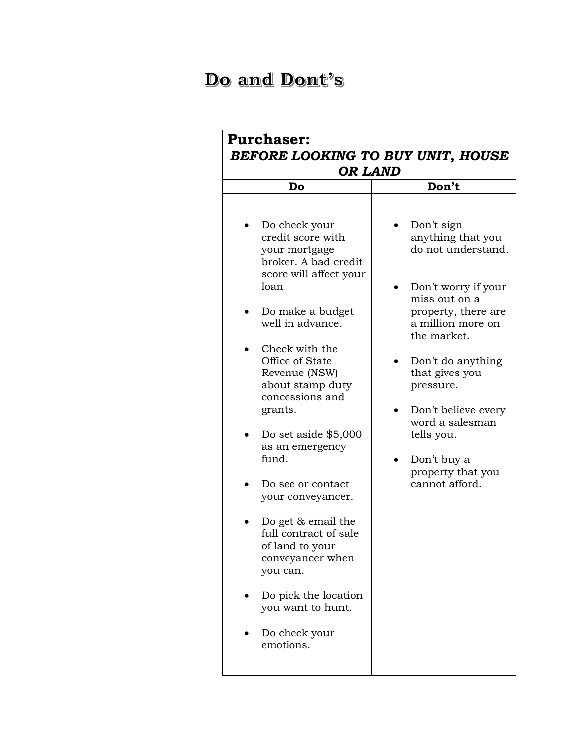## Do and Dont's

| BEFORE LOOKING TO BUY UNIT, HOUSE<br><b>OR LAND</b>                                                                                                                                                                                                                                                                                                                                                                                                                                                                                      |                                                                                                                                                                                                                                                                                                                            |  |
|------------------------------------------------------------------------------------------------------------------------------------------------------------------------------------------------------------------------------------------------------------------------------------------------------------------------------------------------------------------------------------------------------------------------------------------------------------------------------------------------------------------------------------------|----------------------------------------------------------------------------------------------------------------------------------------------------------------------------------------------------------------------------------------------------------------------------------------------------------------------------|--|
| Do                                                                                                                                                                                                                                                                                                                                                                                                                                                                                                                                       | Don't                                                                                                                                                                                                                                                                                                                      |  |
| Do check your<br>credit score with<br>your mortgage<br>broker. A bad credit<br>score will affect your<br>loan<br>Do make a budget<br>well in advance.<br>Check with the<br>Office of State<br>Revenue (NSW)<br>about stamp duty<br>concessions and<br>grants.<br>Do set aside \$5,000<br>as an emergency<br>fund.<br>Do see or contact<br>your conveyancer.<br>Do get & email the<br>full contract of sale<br>of land to your<br>conveyancer when<br>you can.<br>Do pick the location<br>you want to hunt.<br>Do check your<br>emotions. | Don't sign<br>anything that you<br>do not understand.<br>Don't worry if your<br>miss out on a<br>property, there are<br>a million more on<br>the market.<br>Don't do anything<br>that gives you<br>pressure.<br>Don't believe every<br>word a salesman<br>tells you.<br>Don't buy a<br>property that you<br>cannot afford. |  |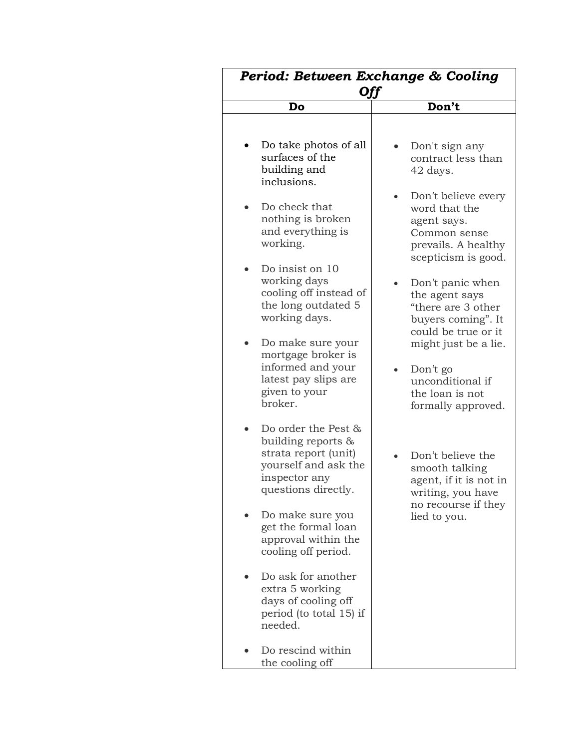| Period: Between Exchange & Cooling<br>Off                                                                                            |                                                                                                                   |
|--------------------------------------------------------------------------------------------------------------------------------------|-------------------------------------------------------------------------------------------------------------------|
| Do                                                                                                                                   | Don't                                                                                                             |
| Do take photos of all<br>surfaces of the<br>building and<br>inclusions.                                                              | Don't sign any<br>contract less than<br>42 days.                                                                  |
| Do check that<br>nothing is broken<br>and everything is<br>working.                                                                  | Don't believe every<br>word that the<br>agent says.<br>Common sense<br>prevails. A healthy<br>scepticism is good. |
| Do insist on 10<br>working days<br>cooling off instead of<br>the long outdated 5<br>working days.                                    | Don't panic when<br>the agent says<br>"there are 3 other<br>buyers coming". It<br>could be true or it             |
| Do make sure your<br>mortgage broker is<br>informed and your<br>latest pay slips are<br>given to your<br>broker.                     | might just be a lie.<br>Don't go<br>unconditional if<br>the loan is not<br>formally approved.                     |
| Do order the Pest &<br>building reports $\&$<br>strata report (unit)<br>yourself and ask the<br>inspector any<br>questions directly. | Don't believe the<br>smooth talking<br>agent, if it is not in<br>writing, you have<br>no recourse if they         |
| Do make sure you<br>get the formal loan<br>approval within the<br>cooling off period.                                                | lied to you.                                                                                                      |
| Do ask for another<br>extra 5 working<br>days of cooling off<br>period (to total 15) if<br>needed.                                   |                                                                                                                   |
| Do rescind within<br>the cooling off                                                                                                 |                                                                                                                   |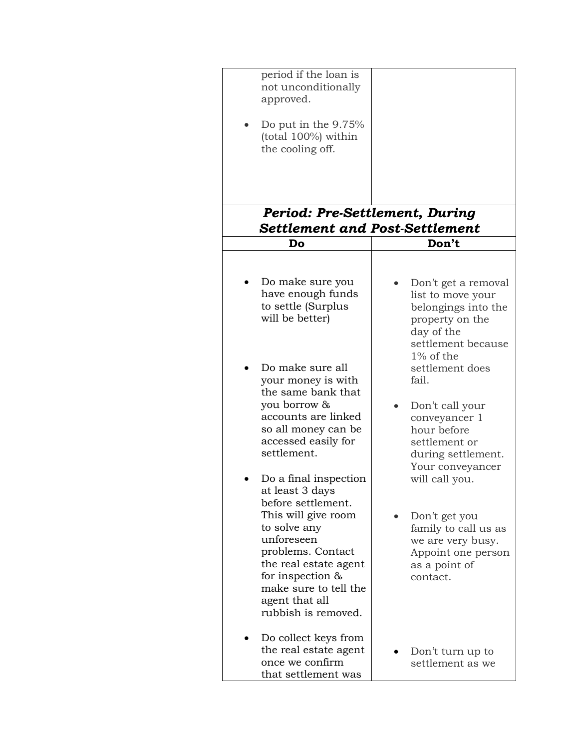| period if the loan is<br>not unconditionally<br>approved.<br>Do put in the $9.75%$<br>(total 100%) within<br>the cooling off.<br><b>Period: Pre-Settlement, During</b>                                                                                                                                                                                                                                                                                                                                        |                                                                                                                                                                                                                                                                                                                                                                                                                     |
|---------------------------------------------------------------------------------------------------------------------------------------------------------------------------------------------------------------------------------------------------------------------------------------------------------------------------------------------------------------------------------------------------------------------------------------------------------------------------------------------------------------|---------------------------------------------------------------------------------------------------------------------------------------------------------------------------------------------------------------------------------------------------------------------------------------------------------------------------------------------------------------------------------------------------------------------|
| <b>Settlement and Post-Settlement</b>                                                                                                                                                                                                                                                                                                                                                                                                                                                                         |                                                                                                                                                                                                                                                                                                                                                                                                                     |
| Do                                                                                                                                                                                                                                                                                                                                                                                                                                                                                                            | Don't                                                                                                                                                                                                                                                                                                                                                                                                               |
| Do make sure you<br>have enough funds<br>to settle (Surplus<br>will be better)<br>Do make sure all<br>your money is with<br>the same bank that<br>you borrow &<br>accounts are linked<br>so all money can be<br>accessed easily for<br>settlement.<br>Do a final inspection<br>at least 3 days<br>before settlement.<br>This will give room<br>to solve any<br>unforeseen<br>problems. Contact<br>the real estate agent<br>for inspection &<br>make sure to tell the<br>agent that all<br>rubbish is removed. | Don't get a removal<br>list to move your<br>belongings into the<br>property on the<br>day of the<br>settlement because<br>$1\%$ of the<br>settlement does<br>fail.<br>Don't call your<br>conveyancer 1<br>hour before<br>settlement or<br>during settlement.<br>Your conveyancer<br>will call you.<br>Don't get you<br>family to call us as<br>we are very busy.<br>Appoint one person<br>as a point of<br>contact. |
| Do collect keys from<br>the real estate agent<br>once we confirm<br>that settlement was                                                                                                                                                                                                                                                                                                                                                                                                                       | Don't turn up to<br>settlement as we                                                                                                                                                                                                                                                                                                                                                                                |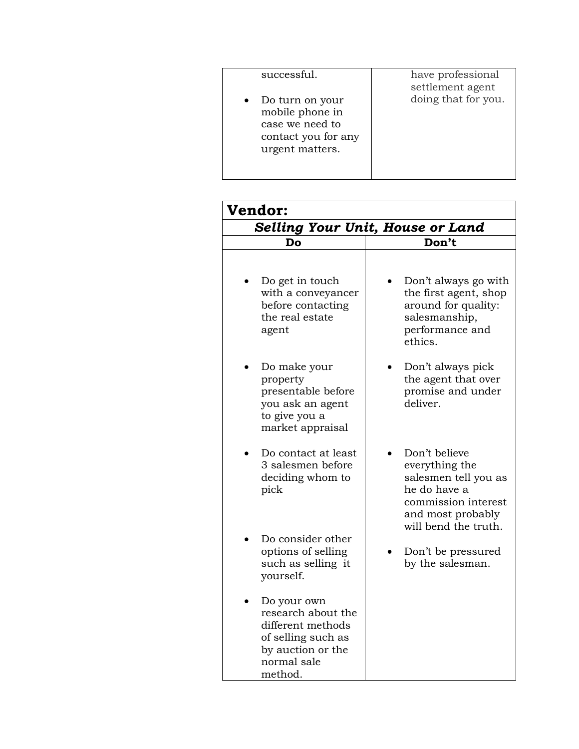| successful.<br>Do turn on your<br>mobile phone in<br>case we need to<br>contact you for any<br>urgent matters. | have professional<br>settlement agent<br>doing that for you. |
|----------------------------------------------------------------------------------------------------------------|--------------------------------------------------------------|
|                                                                                                                |                                                              |
|                                                                                                                |                                                              |

| <b>Vendor:</b>                                                                                                              |                                                                                                                                             |  |
|-----------------------------------------------------------------------------------------------------------------------------|---------------------------------------------------------------------------------------------------------------------------------------------|--|
| Selling Your Unit, House or Land                                                                                            |                                                                                                                                             |  |
| Do                                                                                                                          | Don't                                                                                                                                       |  |
| Do get in touch<br>with a conveyancer<br>before contacting<br>the real estate<br>agent                                      | Don't always go with<br>the first agent, shop<br>around for quality:<br>salesmanship,<br>performance and<br>ethics.                         |  |
| Do make your<br>property<br>presentable before<br>you ask an agent<br>to give you a<br>market appraisal                     | Don't always pick<br>the agent that over<br>promise and under<br>deliver.                                                                   |  |
| Do contact at least<br>3 salesmen before<br>deciding whom to<br>pick                                                        | Don't believe<br>everything the<br>salesmen tell you as<br>he do have a<br>commission interest<br>and most probably<br>will bend the truth. |  |
| Do consider other<br>options of selling<br>such as selling it<br>yourself.                                                  | Don't be pressured<br>by the salesman.                                                                                                      |  |
| Do your own<br>research about the<br>different methods<br>of selling such as<br>by auction or the<br>normal sale<br>method. |                                                                                                                                             |  |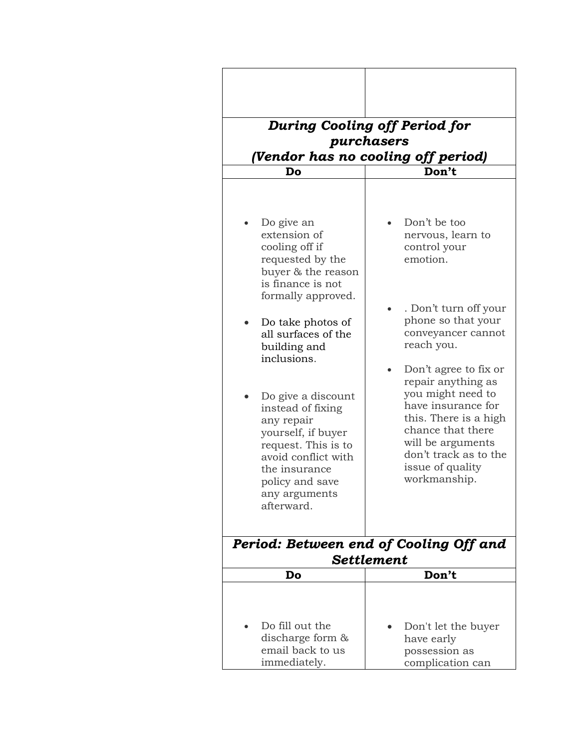| Do                                                                                                                                                                                                                                                                                                                                                                                                           | <b>During Cooling off Period for</b><br>purchasers<br>(Vendor has no cooling off period)<br>Don't                                                                                                                                                                                                                                                                          |  |  |
|--------------------------------------------------------------------------------------------------------------------------------------------------------------------------------------------------------------------------------------------------------------------------------------------------------------------------------------------------------------------------------------------------------------|----------------------------------------------------------------------------------------------------------------------------------------------------------------------------------------------------------------------------------------------------------------------------------------------------------------------------------------------------------------------------|--|--|
| Do give an<br>extension of<br>cooling off if<br>requested by the<br>buyer & the reason<br>is finance is not<br>formally approved.<br>Do take photos of<br>all surfaces of the<br>building and<br>inclusions.<br>Do give a discount<br>instead of fixing<br>any repair<br>yourself, if buyer<br>request. This is to<br>avoid conflict with<br>the insurance<br>policy and save<br>any arguments<br>afterward. | Don't be too<br>nervous, learn to<br>control your<br>emotion.<br>. Don't turn off your<br>phone so that your<br>conveyancer cannot<br>reach you.<br>Don't agree to fix or<br>repair anything as<br>you might need to<br>have insurance for<br>this. There is a high<br>chance that there<br>will be arguments<br>don't track as to the<br>issue of quality<br>workmanship. |  |  |
| Period: Between end of Cooling Off and<br><b>Settlement</b>                                                                                                                                                                                                                                                                                                                                                  |                                                                                                                                                                                                                                                                                                                                                                            |  |  |
| Do                                                                                                                                                                                                                                                                                                                                                                                                           | Don't                                                                                                                                                                                                                                                                                                                                                                      |  |  |
| Do fill out the<br>discharge form $\&$<br>email back to us<br>immediately.                                                                                                                                                                                                                                                                                                                                   | Don't let the buyer<br>have early<br>possession as<br>complication can                                                                                                                                                                                                                                                                                                     |  |  |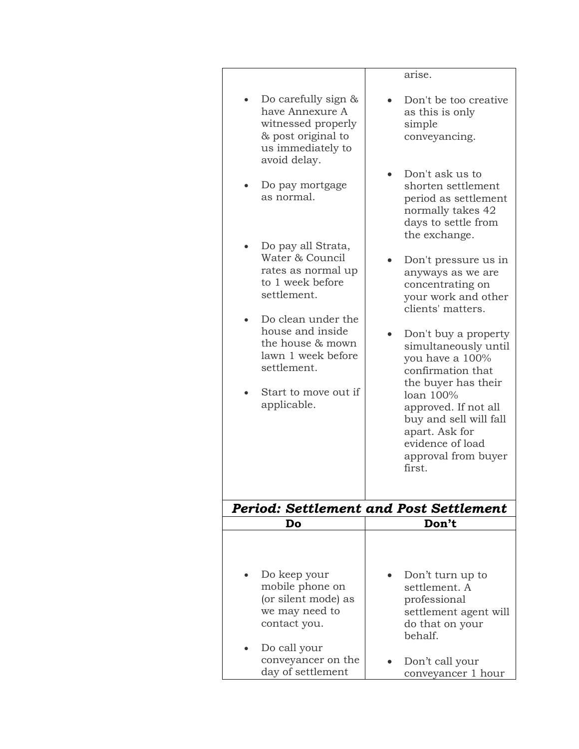|                                                                                                                                        | arise.                                                                                                                                                                                                                                            |
|----------------------------------------------------------------------------------------------------------------------------------------|---------------------------------------------------------------------------------------------------------------------------------------------------------------------------------------------------------------------------------------------------|
| Do carefully sign $\&$<br>have Annexure A<br>witnessed properly<br>& post original to<br>us immediately to<br>avoid delay.             | Don't be too creative<br>as this is only<br>simple<br>conveyancing.                                                                                                                                                                               |
| Do pay mortgage<br>as normal.                                                                                                          | Don't ask us to<br>shorten settlement<br>period as settlement<br>normally takes 42<br>days to settle from<br>the exchange.                                                                                                                        |
| Do pay all Strata,<br>Water & Council<br>rates as normal up<br>to 1 week before<br>settlement.                                         | Don't pressure us in<br>anyways as we are<br>concentrating on<br>your work and other<br>clients' matters.                                                                                                                                         |
| Do clean under the<br>house and inside<br>the house & mown<br>lawn 1 week before<br>settlement.<br>Start to move out if<br>applicable. | Don't buy a property<br>simultaneously until<br>you have a 100%<br>confirmation that<br>the buyer has their<br>loan 100%<br>approved. If not all<br>buy and sell will fall<br>apart. Ask for<br>evidence of load<br>approval from buyer<br>first. |
|                                                                                                                                        | <b>Period: Settlement and Post Settlement</b>                                                                                                                                                                                                     |
| Do                                                                                                                                     | Don't                                                                                                                                                                                                                                             |
|                                                                                                                                        |                                                                                                                                                                                                                                                   |
| Do keep your<br>mobile phone on<br>(or silent mode) as<br>we may need to<br>contact you.                                               | Don't turn up to<br>settlement. A<br>professional<br>settlement agent will<br>do that on your<br>behalf.                                                                                                                                          |
| Do call your<br>conveyancer on the<br>day of settlement                                                                                | Don't call your<br>conveyancer 1 hour                                                                                                                                                                                                             |